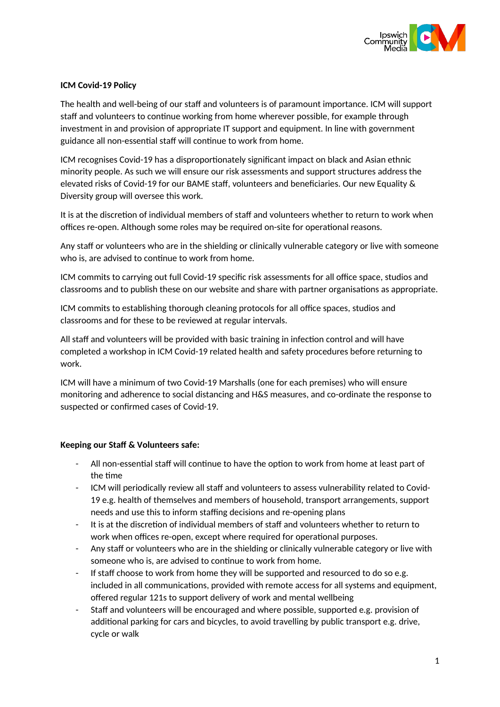

# **ICM Covid-19 Policy**

The health and well-being of our staff and volunteers is of paramount importance. ICM will support staff and volunteers to continue working from home wherever possible, for example through investment in and provision of appropriate IT support and equipment. In line with government guidance all non-essential staff will continue to work from home.

ICM recognises Covid-19 has a disproportionately significant impact on black and Asian ethnic minority people. As such we will ensure our risk assessments and support structures address the elevated risks of Covid-19 for our BAME staff, volunteers and beneficiaries. Our new Equality & Diversity group will oversee this work.

It is at the discretion of individual members of staff and volunteers whether to return to work when offices re-open. Although some roles may be required on-site for operational reasons.

Any staff or volunteers who are in the shielding or clinically vulnerable category or live with someone who is, are advised to continue to work from home.

ICM commits to carrying out full Covid-19 specific risk assessments for all office space, studios and classrooms and to publish these on our website and share with partner organisations as appropriate.

ICM commits to establishing thorough cleaning protocols for all office spaces, studios and classrooms and for these to be reviewed at regular intervals.

All staff and volunteers will be provided with basic training in infection control and will have completed a workshop in ICM Covid-19 related health and safety procedures before returning to work.

ICM will have a minimum of two Covid-19 Marshalls (one for each premises) who will ensure monitoring and adherence to social distancing and H&S measures, and co-ordinate the response to suspected or confirmed cases of Covid-19.

# **Keeping our Staff & Volunteers safe:**

- All non-essential staff will continue to have the option to work from home at least part of the time
- ICM will periodically review all staff and volunteers to assess vulnerability related to Covid-19 e.g. health of themselves and members of household, transport arrangements, support needs and use this to inform staffing decisions and re-opening plans
- It is at the discretion of individual members of staff and volunteers whether to return to work when offices re-open, except where required for operational purposes.
- Any staff or volunteers who are in the shielding or clinically vulnerable category or live with someone who is, are advised to continue to work from home.
- If staff choose to work from home they will be supported and resourced to do so e.g. included in all communications, provided with remote access for all systems and equipment, offered regular 121s to support delivery of work and mental wellbeing
- Staff and volunteers will be encouraged and where possible, supported e.g. provision of additional parking for cars and bicycles, to avoid travelling by public transport e.g. drive, cycle or walk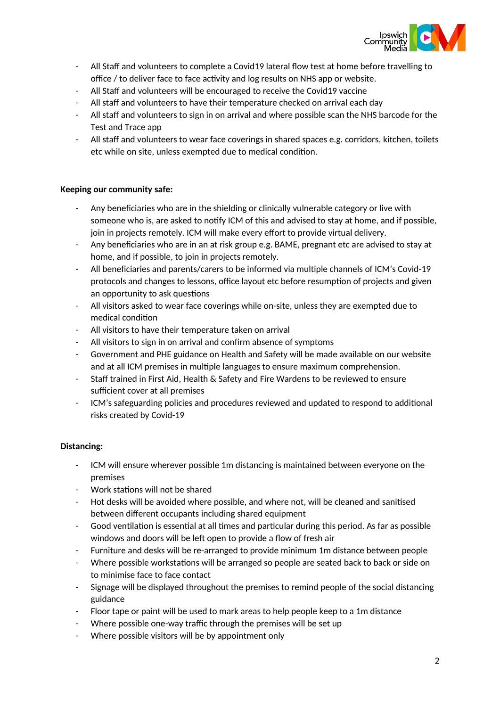

- All Staff and volunteers to complete a Covid19 lateral flow test at home before travelling to office / to deliver face to face activity and log results on NHS app or website.
- All Staff and volunteers will be encouraged to receive the Covid19 vaccine
- All staff and volunteers to have their temperature checked on arrival each day
- All staff and volunteers to sign in on arrival and where possible scan the NHS barcode for the Test and Trace app
- All staff and volunteers to wear face coverings in shared spaces e.g. corridors, kitchen, toilets etc while on site, unless exempted due to medical condition.

#### **Keeping our community safe:**

- Any beneficiaries who are in the shielding or clinically vulnerable category or live with someone who is, are asked to notify ICM of this and advised to stay at home, and if possible, join in projects remotely. ICM will make every effort to provide virtual delivery.
- Any beneficiaries who are in an at risk group e.g. BAME, pregnant etc are advised to stay at home, and if possible, to join in projects remotely.
- All beneficiaries and parents/carers to be informed via multiple channels of ICM's Covid-19 protocols and changes to lessons, office layout etc before resumption of projects and given an opportunity to ask questions
- All visitors asked to wear face coverings while on-site, unless they are exempted due to medical condition
- All visitors to have their temperature taken on arrival
- All visitors to sign in on arrival and confirm absence of symptoms
- Government and PHE guidance on Health and Safety will be made available on our website and at all ICM premises in multiple languages to ensure maximum comprehension.
- Staff trained in First Aid, Health & Safety and Fire Wardens to be reviewed to ensure sufficient cover at all premises
- ICM's safeguarding policies and procedures reviewed and updated to respond to additional risks created by Covid-19

# **Distancing:**

- ICM will ensure wherever possible 1m distancing is maintained between everyone on the premises
- Work stations will not be shared
- Hot desks will be avoided where possible, and where not, will be cleaned and sanitised between different occupants including shared equipment
- Good ventilation is essential at all times and particular during this period. As far as possible windows and doors will be left open to provide a flow of fresh air
- Furniture and desks will be re-arranged to provide minimum 1m distance between people
- Where possible workstations will be arranged so people are seated back to back or side on to minimise face to face contact
- Signage will be displayed throughout the premises to remind people of the social distancing guidance
- Floor tape or paint will be used to mark areas to help people keep to a 1m distance
- Where possible one-way traffic through the premises will be set up
- Where possible visitors will be by appointment only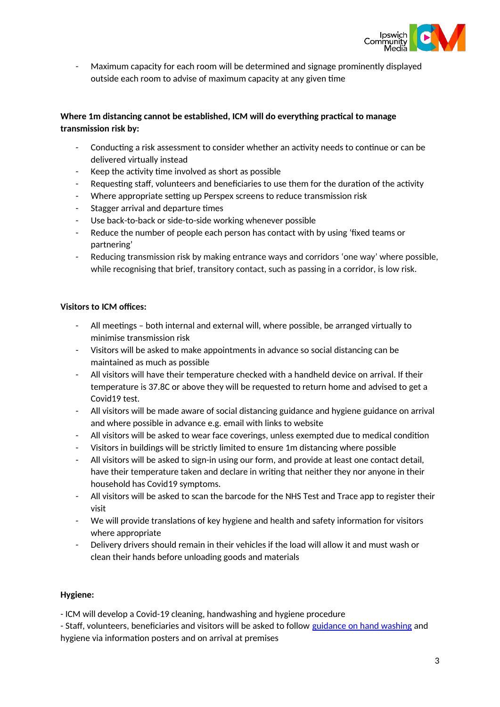

Maximum capacity for each room will be determined and signage prominently displayed outside each room to advise of maximum capacity at any given time

# **Where 1m distancing cannot be established, ICM will do everything practical to manage transmission risk by:**

- Conducting a risk assessment to consider whether an activity needs to continue or can be delivered virtually instead
- Keep the activity time involved as short as possible
- Requesting staff, volunteers and beneficiaries to use them for the duration of the activity
- Where appropriate setting up Perspex screens to reduce transmission risk
- Stagger arrival and departure times
- Use back-to-back or side-to-side working whenever possible
- Reduce the number of people each person has contact with by using 'fixed teams or partnering'
- Reducing transmission risk by making entrance ways and corridors 'one way' where possible, while recognising that brief, transitory contact, such as passing in a corridor, is low risk.

# **Visitors to ICM offices:**

- All meetings both internal and external will, where possible, be arranged virtually to minimise transmission risk
- Visitors will be asked to make appointments in advance so social distancing can be maintained as much as possible
- All visitors will have their temperature checked with a handheld device on arrival. If their temperature is 37.8C or above they will be requested to return home and advised to get a Covid19 test.
- All visitors will be made aware of social distancing guidance and hygiene guidance on arrival and where possible in advance e.g. email with links to website
- All visitors will be asked to wear face coverings, unless exempted due to medical condition
- Visitors in buildings will be strictly limited to ensure 1m distancing where possible
- All visitors will be asked to sign-in using our form, and provide at least one contact detail, have their temperature taken and declare in writing that neither they nor anyone in their household has Covid19 symptoms.
- All visitors will be asked to scan the barcode for the NHS Test and Trace app to register their visit
- We will provide translations of key hygiene and health and safety information for visitors where appropriate
- Delivery drivers should remain in their vehicles if the load will allow it and must wash or clean their hands before unloading goods and materials

# **Hygiene:**

- ICM will develop a Covid-19 cleaning, handwashing and hygiene procedure

- Staff, volunteers, beneficiaries and visitors will be asked to follow [guidance on hand washing](https://www.nhs.uk/live-well/healthy-body/best-way-to-wash-your-hands/) and hygiene via information posters and on arrival at premises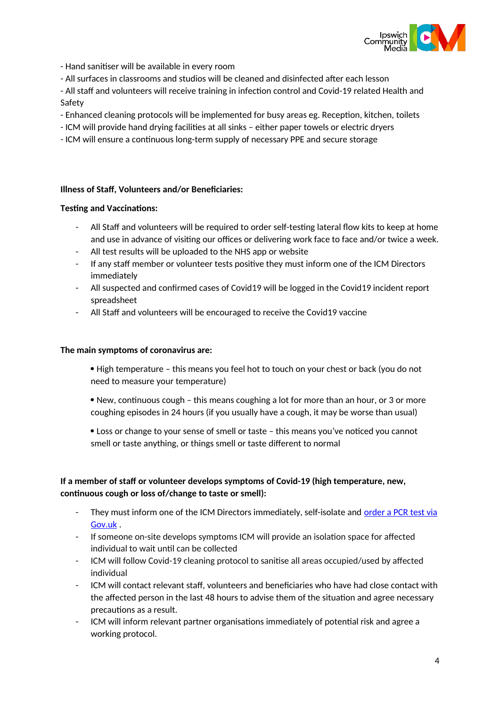

- Hand sanitiser will be available in every room

- All surfaces in classrooms and studios will be cleaned and disinfected after each lesson

- All staff and volunteers will receive training in infection control and Covid-19 related Health and Safety

- Enhanced cleaning protocols will be implemented for busy areas eg. Reception, kitchen, toilets
- ICM will provide hand drying facilities at all sinks either paper towels or electric dryers
- ICM will ensure a continuous long-term supply of necessary PPE and secure storage

### **Illness of Staff, Volunteers and/or Beneficiaries:**

### **Testing and Vaccinations:**

- All Staff and volunteers will be required to order self-testing lateral flow kits to keep at home and use in advance of visiting our offices or delivering work face to face and/or twice a week.
- All test results will be uploaded to the NHS app or website
- If any staff member or volunteer tests positive they must inform one of the ICM Directors immediately
- All suspected and confirmed cases of Covid19 will be logged in the Covid19 incident report spreadsheet
- All Staff and volunteers will be encouraged to receive the Covid19 vaccine

#### **The main symptoms of coronavirus are:**

 High temperature – this means you feel hot to touch on your chest or back (you do not need to measure your temperature)

- New, continuous cough this means coughing a lot for more than an hour, or 3 or more coughing episodes in 24 hours (if you usually have a cough, it may be worse than usual)
- Loss or change to your sense of smell or taste this means you've noticed you cannot smell or taste anything, or things smell or taste different to normal

# **If a member of staff or volunteer develops symptoms of Covid-19 (high temperature, new, continuous cough or loss of/change to taste or smell):**

- They must inform one of the ICM Directors immediately, self-isolate and [order a PCR test via](https://www.gov.uk/get-coronavirus-test) [Gov.uk](https://www.gov.uk/get-coronavirus-test) .
- If someone on-site develops symptoms ICM will provide an isolation space for affected individual to wait until can be collected
- ICM will follow Covid-19 cleaning protocol to sanitise all areas occupied/used by affected individual
- ICM will contact relevant staff, volunteers and beneficiaries who have had close contact with the affected person in the last 48 hours to advise them of the situation and agree necessary precautions as a result.
- ICM will inform relevant partner organisations immediately of potential risk and agree a working protocol.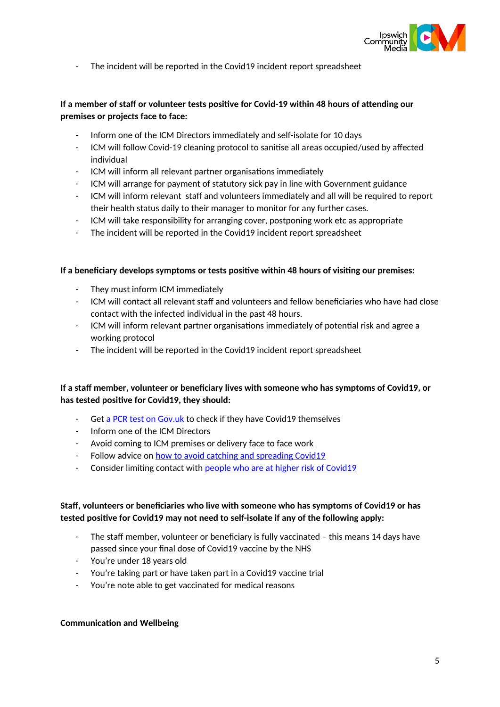

- The incident will be reported in the Covid19 incident report spreadsheet

# **If a member of staff or volunteer tests positive for Covid-19 within 48 hours of attending our premises or projects face to face:**

- Inform one of the ICM Directors immediately and self-isolate for 10 days
- ICM will follow Covid-19 cleaning protocol to sanitise all areas occupied/used by affected individual
- ICM will inform all relevant partner organisations immediately
- ICM will arrange for payment of statutory sick pay in line with Government guidance
- ICM will inform relevant staff and volunteers immediately and all will be required to report their health status daily to their manager to monitor for any further cases.
- ICM will take responsibility for arranging cover, postponing work etc as appropriate
- The incident will be reported in the Covid19 incident report spreadsheet

#### **If a beneficiary develops symptoms or tests positive within 48 hours of visiting our premises:**

- They must inform ICM immediately
- ICM will contact all relevant staff and volunteers and fellow beneficiaries who have had close contact with the infected individual in the past 48 hours.
- ICM will inform relevant partner organisations immediately of potential risk and agree a working protocol
- The incident will be reported in the Covid19 incident report spreadsheet

# **If a staff member, volunteer or beneficiary lives with someone who has symptoms of Covid19, or has tested positive for Covid19, they should:**

- Get [a PCR test on Gov.uk](https://www.gov.uk/get-coronavirus-test) to check if they have Covid19 themselves
- Inform one of the ICM Directors
- Avoid coming to ICM premises or delivery face to face work
- Follow advice on [how to avoid catching and spreading Covid19](https://www.nhs.uk/conditions/coronavirus-covid-19/how-to-avoid-catching-and-spreading-coronavirus-covid-19/)
- Consider limiting contact with [people who are at higher risk of Covid19](https://www.nhs.uk/conditions/coronavirus-covid-19/people-at-higher-risk/)

# **Staff, volunteers or beneficiaries who live with someone who has symptoms of Covid19 or has tested positive for Covid19 may not need to self-isolate if any of the following apply:**

- The staff member, volunteer or beneficiary is fully vaccinated this means 14 days have passed since your final dose of Covid19 vaccine by the NHS
- You're under 18 years old
- You're taking part or have taken part in a Covid19 vaccine trial
- You're note able to get vaccinated for medical reasons

#### **Communication and Wellbeing**